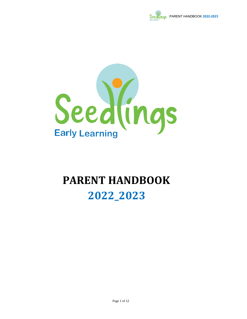



# PARENT HANDBOOK 2022\_2023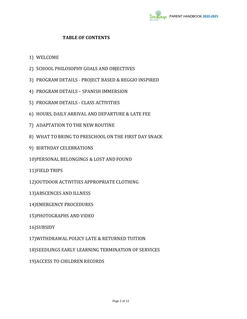

#### TABLE OF CONTENTS

- 1) WELCOME
- 2) SCHOOL PHILOSOPHY GOALS AND OBJECTIVES
- 3) PROGRAM DETAILS PROJECT BASED & REGGIO INSPIRED
- 4) PROGRAM DETAILS SPANISH IMMERSION
- 5) PROGRAM DETAILS CLASS ACTIVITIES
- 6) HOURS, DAILY ARRIVAL AND DEPARTURE & LATE FEE
- 7) ADAPTATION TO THE NEW ROUTINE
- 8) WHAT TO BRING TO PRESCHOOL ON THE FIRST DAY SNACK
- 9) BIRTHDAY CELEBRATIONS
- 10)PERSONAL BELONGINGS & LOST AND FOUND
- 11)FIELD TRIPS
- 12)OUTDOOR ACTIVITIES APPROPRIATE CLOTHING
- 13)ABSCENCES AND ILLNESS
- 14)EMERGENCY PROCEDURES
- 15)PHOTOGRAPHS AND VIDEO
- 16)SUBSIDY
- 17)WITHDRAWAL POLICY LATE & RETURNED TUITION
- 18)SEEDLINGS EARLY LEARNING TERMINATION OF SERVICES
- 19)ACCESS TO CHILDREN RECORDS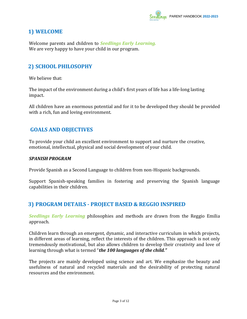

# 1) WELCOME

Welcome parents and children to **Seedlings Early Learning.** We are very happy to have your child in our program.

# 2) SCHOOL PHILOSOPHY

We believe that:

The impact of the environment during a child's first years of life has a life-long lasting impact.

All children have an enormous potential and for it to be developed they should be provided with a rich, fun and loving environment.

## GOALS AND OBJECTIVES

To provide your child an excellent environment to support and nurture the creative, emotional, intellectual, physical and social development of your child.

#### SPANISH PROGRAM

Provide Spanish as a Second Language to children from non-Hispanic backgrounds.

Support Spanish-speaking families in fostering and preserving the Spanish language capabilities in their children.

## 3) PROGRAM DETAILS - PROJECT BASED & REGGIO INSPIRED

Seedlings Early Learning philosophies and methods are drawn from the Reggio Emilia approach.

Children learn through an emergent, dynamic, and interactive curriculum in which projects, in different areas of learning, reflect the interests of the children. This approach is not only tremendously motivational, but also allows children to develop their creativity and love of learning through what is termed "the 100 languages of the child."

The projects are mainly developed using science and art. We emphasize the beauty and usefulness of natural and recycled materials and the desirability of protecting natural resources and the environment.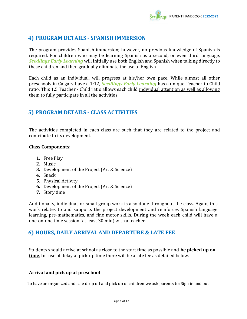

# 4) PROGRAM DETAILS - SPANISH IMMERSION

The program provides Spanish immersion; however, no previous knowledge of Spanish is required. For children who may be learning Spanish as a second, or even third language, Seedlings Early Learning will initially use both English and Spanish when talking directly to these children and then gradually eliminate the use of English.

Each child as an individual, will progress at his/her own pace. While almost all other preschools in Calgary have a 1:12, Seedlings Early Learning has a unique Teacher to Child ratio. This 1:5 Teacher - Child ratio allows each child individual attention as well as allowing them to fully participate in all the activities

## 5) PROGRAM DETAILS - CLASS ACTIVITIES

The activities completed in each class are such that they are related to the project and contribute to its development.

#### Class Components:

- 1. Free Play
- 2. Music
- 3. Development of the Project (Art & Science)
- 4. Snack
- 5. Physical Activity
- 6. Development of the Project (Art & Science)
- 7. Story time

Additionally, individual, or small group work is also done throughout the class. Again, this work relates to and supports the project development and reinforces Spanish language learning, pre-mathematics, and fine motor skills. During the week each child will have a one-on-one time session (at least 30 min) with a teacher.

#### 6) HOURS, DAILY ARRIVAL AND DEPARTURE & LATE FEE

Students should arrive at school as close to the start time as possible and be picked up on time. In case of delay at pick-up time there will be a late fee as detailed below.

#### Arrival and pick up at preschool

To have an organized and safe drop off and pick up of children we ask parents to: Sign in and out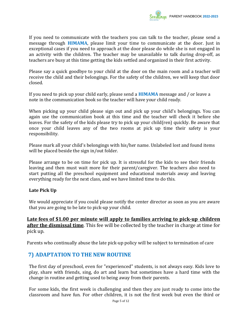

If you need to communicate with the teachers you can talk to the teacher, please send a message through HIMAMA, please limit your time to communicate at the door. Just in exceptional cases if you need to approach at the door please do while she is not engaged in an activity with the children. The teacher may be unavailable to talk during drop-off, as teachers are busy at this time getting the kids settled and organized in their first activity.

Please say a quick goodbye to your child at the door on the main room and a teacher will receive the child and their belongings. For the safety of the children, we will keep that door closed.

If you need to pick up your child early, please send a HIMAMA message and / or leave a note in the communication book so the teacher will have your child ready.

When picking up your child please sign out and pick up your child's belongings. You can again use the communication book at this time and the teacher will check it before she leaves. For the safety of the kids please try to pick up your child(ren) quickly. Be aware that once your child leaves any of the two rooms at pick up time their safety is your responsibility.

Please mark all your child's belongings with his/her name. Unlabeled lost and found items will be placed beside the sign in/out folder.

Please arrange to be on time for pick up. It is stressful for the kids to see their friends leaving and then must wait more for their parent/caregiver. The teachers also need to start putting all the preschool equipment and educational materials away and leaving everything ready for the next class, and we have limited time to do this.

#### Late Pick Up

We would appreciate if you could please notify the center director as soon as you are aware that you are going to be late to pick-up your child.

Late fees of \$1.00 per minute will apply to families arriving to pick-up children after the dismissal time. This fee will be collected by the teacher in charge at time for pick up.

Parents who continually abuse the late pick-up policy will be subject to termination of care

# 7) ADAPTATION TO THE NEW ROUTINE

The first day of preschool, even for "experienced" students, is not always easy. Kids love to play, share with friends, sing, do art and learn but sometimes have a hard time with the change in routine and getting used to being away from their parents.

For some kids, the first week is challenging and then they are just ready to come into the classroom and have fun. For other children, it is not the first week but even the third or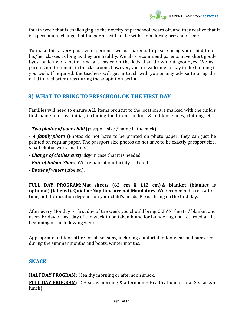

fourth week that is challenging as the novelty of preschool wears off, and they realize that it is a permanent change that the parent will not be with them during preschool time.

To make this a very positive experience we ask parents to please bring your child to all his/her classes as long as they are healthy. We also recommend parents have short goodbyes, which work better and are easier on the kids than drawn-out goodbyes. We ask parents not to remain in the classroom, however, you are welcome to stay in the building if you wish. If required, the teachers will get in touch with you or may advise to bring the child for a shorter class during the adaptation period.

# 8) WHAT TO BRING TO PRESCHOOL ON THE FIRST DAY

Families will need to ensure ALL items brought to the location are marked with the child's first name and last initial, including food items indoor & outdoor shoes, clothing, etc.

- Two photos of your child (passport size / name in the back).

- A family photo (Photos do not have to be printed on photo paper: they can just be printed on regular paper. The passport size photos do not have to be exactly passport size, small photos work just fine.)

- Change of clothes every day in case that it is needed.
- **Pair of Indoor Shoes**. Will remain at our facility (labeled).
- **Bottle of water** (labeled).

FULL DAY PROGRAM: Mat sheets (62 cm X 112 cm) & blanket (blanket is optional) (labeled). Quiet or Nap time are not Mandatory. We recommend a relaxation time, but the duration depends on your child's needs. Please bring on the first day.

After every Monday or first day of the week you should bring CLEAN sheets / blanket and every Friday or last day of the week to be taken home for laundering and returned at the beginning of the following week.

Appropriate outdoor attire for all seasons, including comfortable footwear and sunscreen during the summer months and boots, winter months.

#### SNACK

**HALF DAY PROGRAM:** Healthy morning or afternoon snack.

FULL DAY PROGRAM: 2 Healthy morning & afternoon + Healthy Lunch (total 2 snacks + lunch)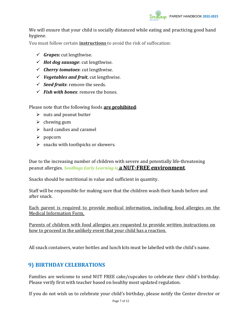

We will ensure that your child is socially distanced while eating and practicing good hand hygiene.

You must follow certain instructions to avoid the risk of suffocation:

- $\checkmark$  Grapes: cut lengthwise.
- $\checkmark$  Hot dog sausage: cut lengthwise.
- $\checkmark$  Cherry tomatoes: cut lengthwise.
- $\checkmark$  Vegetables and fruit, cut lengthwise.
- $\checkmark$  Seed fruits: remove the seeds.
- $\checkmark$  Fish with bones: remove the bones.

Please note that the following foods are prohibited:

- $\triangleright$  nuts and peanut butter
- $\triangleright$  chewing gum
- $\triangleright$  hard candies and caramel
- $\triangleright$  popcorn
- $\triangleright$  snacks with toothpicks or skewers.

Due to the increasing number of children with severe and potentially life-threatening peanut allergies. Seedlings Early Learning is a NUT-FREE environment.

Snacks should be nutritional in value and sufficient in quantity.

Staff will be responsible for making sure that the children wash their hands before and after snack.

Each parent is required to provide medical information, including food allergies on the Medical Information Form.

Parents of children with food allergies are requested to provide written instructions on how to proceed in the unlikely event that your child has a reaction.

All snack containers, water bottles and lunch kits must be labelled with the child's name.

## 9) BIRTHDAY CELEBRATIONS

Families are welcome to send NUT FREE cake/cupcakes to celebrate their child's birthday. Please verify first with teacher based on healthy most updated regulation.

If you do not wish us to celebrate your child's birthday, please notify the Center director or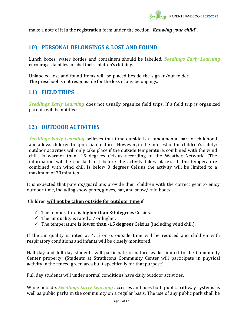make a note of it in the registration form under the section "**Knowing your child"**.

# 10) PERSONAL BELONGINGS & LOST AND FOUND

Lunch boxes, water bottles and containers should be labelled. Seedlings Early Learning encourages families to label their children's clothing.

Unlabeled lost and found items will be placed beside the sign in/out folder. The preschool is not responsible for the loss of any belongings.

# 11) FIELD TRIPS

Seedlings Early Learning does not usually organize field trips. If a field trip is organized parents will be notified

# 12) OUTDOOR ACTIVITIES

Seedlings Early Learning believes that time outside is a fundamental part of childhood and allows children to appreciate nature. However, in the interest of the children's safety: outdoor activities will only take place if the outside temperature, combined with the wind chill, is warmer than -15 degrees Celsius according to the Weather Network. (The information will be checked just before the activity takes place). If the temperature combined with wind chill is below 0 degrees Celsius the activity will be limited to a maximum of 30 minutes.

It is expected that parents/guardians provide their children with the correct gear to enjoy outdoor time, including snow pants, gloves, hat, and snow/ rain boots.

Children will not be taken outside for outdoor time if:

- $\checkmark$  The temperature is higher than 30-degrees Celsius.
- $\checkmark$  The air quality is rated a 7 or higher.
- $\checkmark$  The temperature is lower than -15 degrees Celsius (including wind chill).

If the air quality is rated at 4, 5 or 6, outside time will be reduced and children with respiratory conditions and infants will be closely monitored.

Half day and full day students will participate in nature walks limited to the Community Center property. (Students at Strathcona Community Center will participate in physical activity in the fenced green area built specifically for that purpose).

Full day students will under normal conditions have daily outdoor activities.

While outside, Seedlings Early Learning accesses and uses both public pathway systems as well as public parks in the community on a regular basis. The use of any public park shall be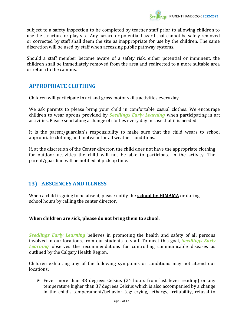

subject to a safety inspection to be completed by teacher staff prior to allowing children to use the structure or play site. Any hazard or potential hazard that cannot be safely removed or corrected by staff shall deem the site as inappropriate for use by the children. The same discretion will be used by staff when accessing public pathway systems.

Should a staff member become aware of a safety risk, either potential or imminent, the children shall be immediately removed from the area and redirected to a more suitable area or return to the campus.

## APPROPRIATE CLOTHING

Children will participate in art and gross motor skills activities every day.

We ask parents to please bring your child in comfortable casual clothes. We encourage children to wear aprons provided by **Seedlings Early Learning** when participating in art activities. Please send along a change of clothes every day in case that it is needed.

It is the parent/guardian's responsibility to make sure that the child wears to school appropriate clothing and footwear for all weather conditions.

If, at the discretion of the Center director, the child does not have the appropriate clothing for outdoor activities the child will not be able to participate in the activity. The parent/guardian will be notified at pick up time.

# 13) ABSCENCES AND ILLNESS

When a child is going to be absent, please notify the **school by HIMAMA** or during school hours by calling the center director.

#### When children are sick, please do not bring them to school.

Seedlings Early Learning believes in promoting the health and safety of all persons involved in our locations, from our students to staff. To meet this goal, Seedlings Early Learning observes the recommendations for controlling communicable diseases as outlined by the Calgary Health Region.

Children exhibiting any of the following symptoms or conditions may not attend our locations:

 $\triangleright$  Fever more than 38 degrees Celsius (24 hours from last fever reading) or any temperature higher than 37 degrees Celsius which is also accompanied by a change in the child's temperament/behavior (eg: crying, lethargy, irritability, refusal to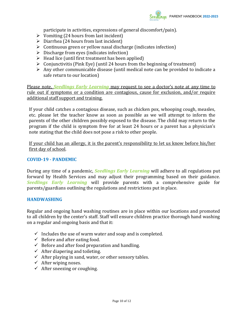

participate in activities, expressions of general discomfort/pain).

- $\triangleright$  Vomiting (24 hours from last incident)
- $\triangleright$  Diarrhea (24 hours from last incident)
- $\triangleright$  Continuous green or yellow nasal discharge (indicates infection)
- $\triangleright$  Discharge from eyes (indicates infection)
- $\triangleright$  Head lice (until first treatment has been applied)
- $\triangleright$  Conjunctivitis (Pink Eye) (until 24 hours from the beginning of treatment)
- $\triangleright$  Any other communicable disease (until medical note can be provided to indicate a safe return to our location)

Please note, Seedlings Early Learning may request to see a doctor's note at any time to rule out if symptoms or a condition are contagious, cause for exclusion, and/or require additional staff support and training.

If your child catches a contagious disease, such as chicken pox, whooping cough, measles, etc. please let the teacher know as soon as possible as we will attempt to inform the parents of the other children possibly exposed to the disease. The child may return to the program if the child is symptom free for at least 24 hours or a parent has a physician's note stating that the child does not pose a risk to other people.

If your child has an allergy, it is the parent's responsibility to let us know before his/her first day of school.

#### COVID-19 - PANDEMIC

During any time of a pandemic, *Seedlings Early Learning* will adhere to all regulations put forward by Health Services and may adjust their programming based on their guidance. Seedlings Early Learning will provide parents with a comprehensive guide for parents/guardians outlining the regulations and restrictions put in place.

#### HANDWASHING

Regular and ongoing hand washing routines are in place within our locations and promoted to all children by the center's staff. Staff will ensure children practice thorough hand washing on a regular and ongoing basis and that it:

- $\checkmark$  Includes the use of warm water and soap and is completed.
- $\checkmark$  Before and after eating food.
- $\checkmark$  Before and after food preparation and handling.
- $\checkmark$  After diapering and toileting.
- $\checkmark$  After playing in sand, water, or other sensory tables.
- $\checkmark$  After wiping noses.
- $\checkmark$  After sneezing or coughing.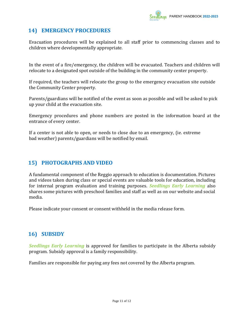

## 14) EMERGENCY PROCEDURES

Evacuation procedures will be explained to all staff prior to commencing classes and to children where developmentally appropriate.

In the event of a fire/emergency, the children will be evacuated. Teachers and children will relocate to a designated spot outside of the building in the community center property.

If required, the teachers will relocate the group to the emergency evacuation site outside the Community Center property.

Parents/guardians will be notified of the event as soon as possible and will be asked to pick up your child at the evacuation site.

Emergency procedures and phone numbers are posted in the information board at the entrance of every center.

If a center is not able to open, or needs to close due to an emergency, (ie. extreme bad weather) parents/guardians will be notified by email.

## 15) PHOTOGRAPHS AND VIDEO

A fundamental component of the Reggio approach to education is documentation. Pictures and videos taken during class or special events are valuable tools for education, including for internal program evaluation and training purposes. Seedlings Early Learning also shares some pictures with preschool families and staff as well as on our website and social media.

Please indicate your consent or consent withheld in the media release form.

# 16) SUBSIDY

Seedlings Early Learning is approved for families to participate in the Alberta subsidy program. Subsidy approval is a family responsibility.

Families are responsible for paying any fees not covered by the Alberta program.